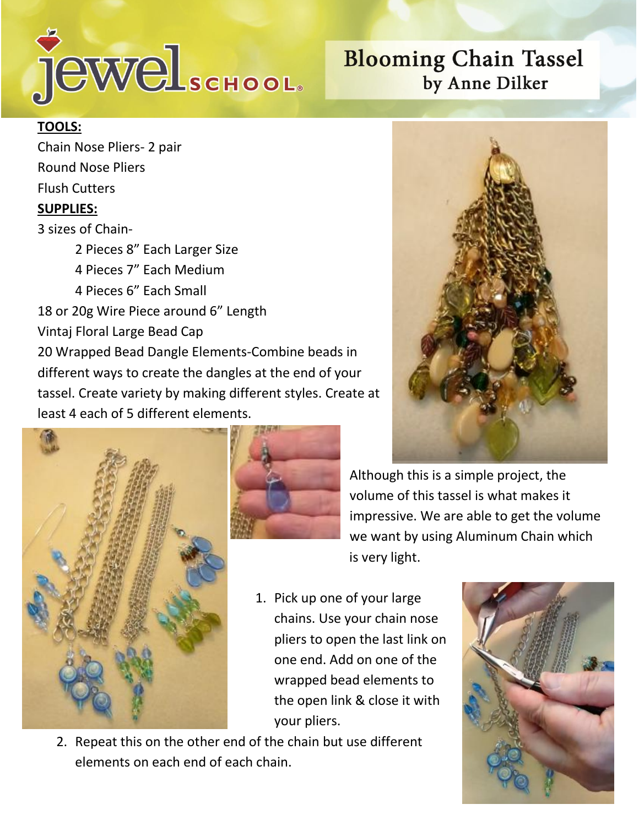

## **Blooming Chain Tassel** by Anne Dilker

## **TOOLS:**

Chain Nose Pliers- 2 pair Round Nose Pliers Flush Cutters **SUPPLIES:** 3 sizes of Chain-2 Pieces 8" Each Larger Size

4 Pieces 7" Each Medium 4 Pieces 6" Each Small 18 or 20g Wire Piece around 6" Length

Vintaj Floral Large Bead Cap

20 Wrapped Bead Dangle Elements-Combine beads in different ways to create the dangles at the end of your tassel. Create variety by making different styles. Create at least 4 each of 5 different elements.







Although this is a simple project, the volume of this tassel is what makes it impressive. We are able to get the volume we want by using Aluminum Chain which is very light.

1. Pick up one of your large chains. Use your chain nose pliers to open the last link on one end. Add on one of the wrapped bead elements to the open link & close it with your pliers.



2. Repeat this on the other end of the chain but use different elements on each end of each chain.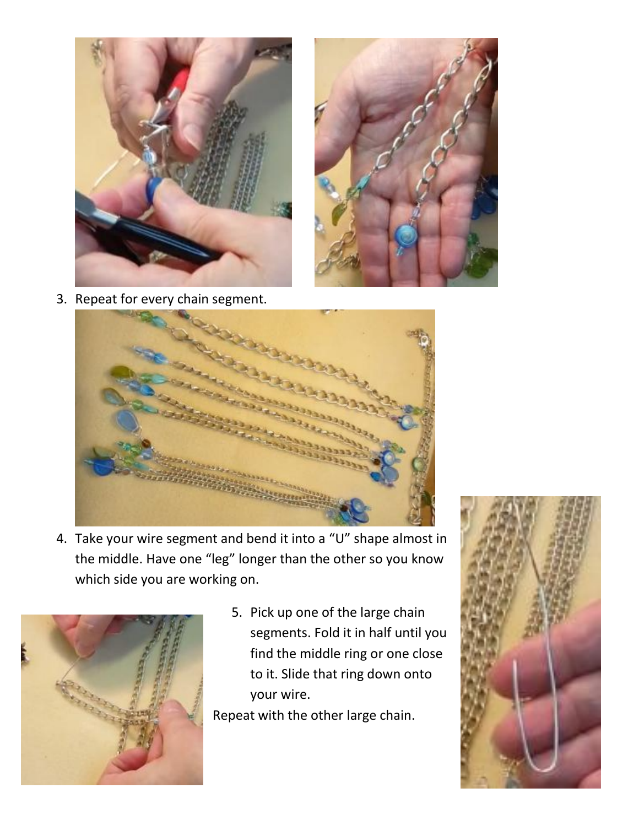



3. Repeat for every chain segment.



4. Take your wire segment and bend it into a "U" shape almost in the middle. Have one "leg" longer than the other so you know which side you are working on.



5. Pick up one of the large chain segments. Fold it in half until you find the middle ring or one close to it. Slide that ring down onto your wire.

Repeat with the other large chain.